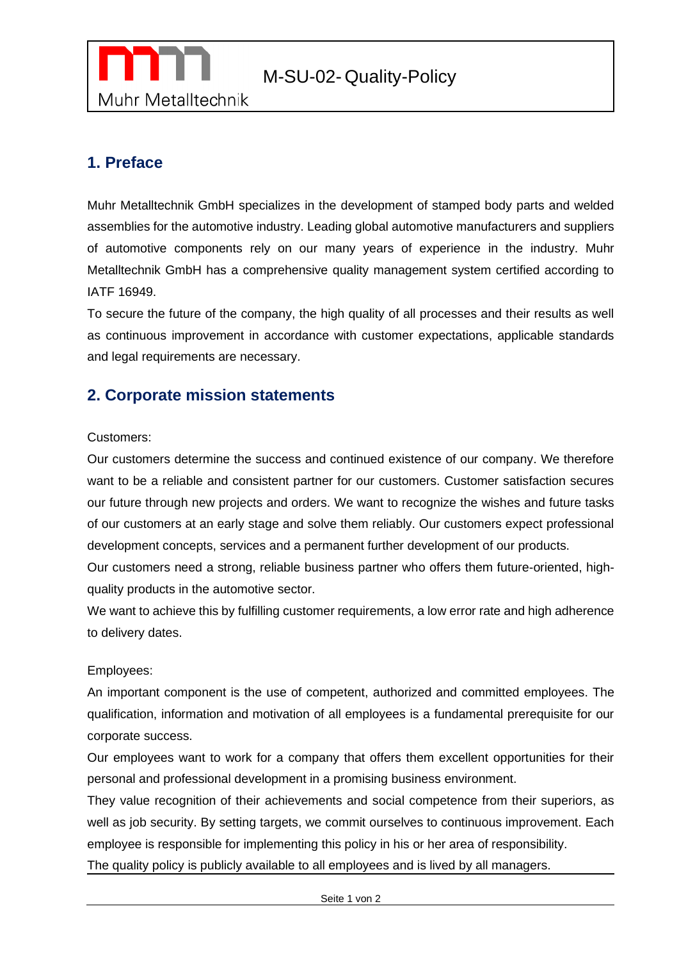

# **1. Preface**

Muhr Metalltechnik GmbH specializes in the development of stamped body parts and welded assemblies for the automotive industry. Leading global automotive manufacturers and suppliers of automotive components rely on our many years of experience in the industry. Muhr Metalltechnik GmbH has a comprehensive quality management system certified according to IATF 16949.

To secure the future of the company, the high quality of all processes and their results as well as continuous improvement in accordance with customer expectations, applicable standards and legal requirements are necessary.

## **2. Corporate mission statements**

#### Customers:

Our customers determine the success and continued existence of our company. We therefore want to be a reliable and consistent partner for our customers. Customer satisfaction secures our future through new projects and orders. We want to recognize the wishes and future tasks of our customers at an early stage and solve them reliably. Our customers expect professional development concepts, services and a permanent further development of our products.

Our customers need a strong, reliable business partner who offers them future-oriented, highquality products in the automotive sector.

We want to achieve this by fulfilling customer requirements, a low error rate and high adherence to delivery dates.

#### Employees:

An important component is the use of competent, authorized and committed employees. The qualification, information and motivation of all employees is a fundamental prerequisite for our corporate success.

Our employees want to work for a company that offers them excellent opportunities for their personal and professional development in a promising business environment.

They value recognition of their achievements and social competence from their superiors, as well as job security. By setting targets, we commit ourselves to continuous improvement. Each employee is responsible for implementing this policy in his or her area of responsibility.

The quality policy is publicly available to all employees and is lived by all managers.